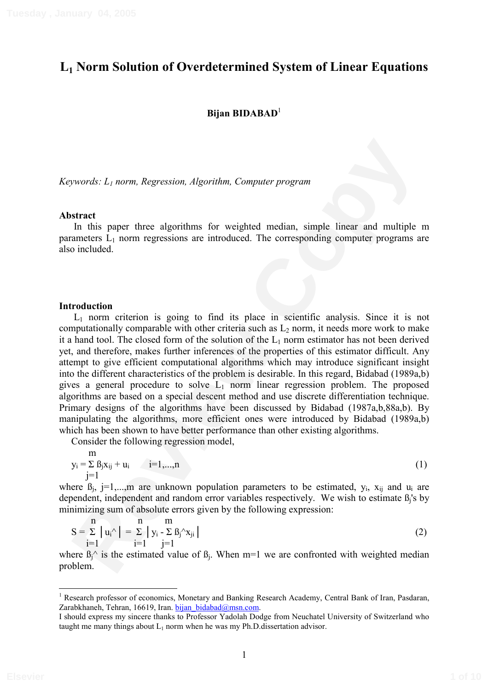# **L1 Norm Solution of Overdetermined System of Linear Equations**

### **Bijan BIDABAD**<sup>1</sup>

*Keywords: L1 norm, Regression, Algorithm, Computer program* 

#### **Abstract**

In this paper three algorithms for weighted median, simple linear and multiple m parameters  $L_1$  norm regressions are introduced. The corresponding computer programs are also included.

#### **Introduction**

pywords:  $L_i$  norm, Regression, Algorithm, Computer program<br> **Example Sincer**<br>
In this space three algorithms for weighted median, simple linear and multiple m<br>
and is pace throe algorithms for weighted median, simple lin L1 norm criterion is going to find its place in scientific analysis. Since it is not computationally comparable with other criteria such as  $L<sub>2</sub>$  norm, it needs more work to make it a hand tool. The closed form of the solution of the  $L_1$  norm estimator has not been derived yet, and therefore, makes further inferences of the properties of this estimator difficult. Any attempt to give efficient computational algorithms which may introduce significant insight into the different characteristics of the problem is desirable. In this regard, Bidabad (1989a,b) gives a general procedure to solve  $L_1$  norm linear regression problem. The proposed algorithms are based on a special descent method and use discrete differentiation technique. Primary designs of the algorithms have been discussed by Bidabad (1987a,b,88a,b). By manipulating the algorithms, more efficient ones were introduced by Bidabad (1989a,b) which has been shown to have better performance than other existing algorithms.

Consider the following regression model,

$$
y_i = \sum_{j=1}^{m} \beta_j x_{ij} + u_i \qquad i=1,...,n
$$
 (1)

where  $B_j$ , j=1,...,m are unknown population parameters to be estimated,  $y_i$ ,  $x_{ij}$  and  $u_i$  are dependent, independent and random error variables respectively. We wish to estimate  $B_i$ 's by minimizing sum of absolute errors given by the following expression:

$$
S = \sum_{i=1}^{n} |u_i^{\wedge}| = \sum_{i=1}^{n} |y_i - \sum_{j=1}^{n} B_j^{\wedge} x_{ji}|
$$
(2)

where  $\beta_1^{\wedge}$  is the estimated value of  $\beta_1$ . When m=1 we are confronted with weighted median problem.

Research professor of economics, Monetary and Banking Research Academy, Central Bank of Iran, Pasdaran, Zarabkhaneh, Tehran, 16619, Iran, bijan bidabad@msn.com.

I should express my sincere thanks to Professor Yadolah Dodge from Neuchatel University of Switzerland who taught me many things about  $L_1$  norm when he was my Ph.D.dissertation advisor.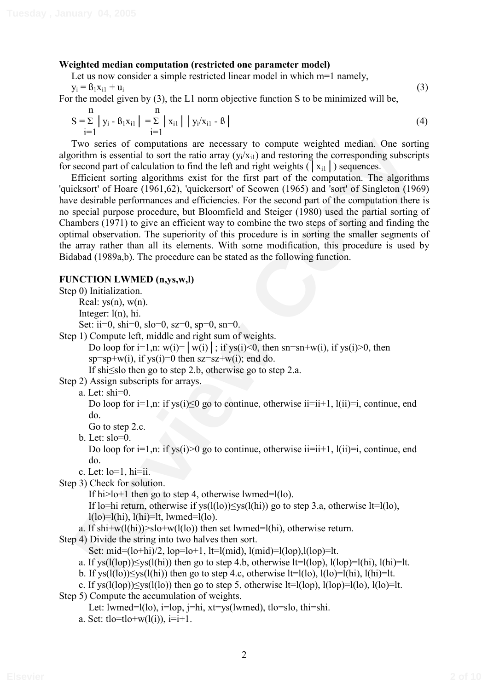### **Weighted median computation (restricted one parameter model)**

Let us now consider a simple restricted linear model in which m=1 namely,

 $y_i = \beta_1 x_{i1} + u_i$  (3)

For the model given by (3), the L1 norm objective function S to be minimized will be,

$$
S = \sum_{i=1}^{n} |y_i - B_1 x_{i1}| = \sum_{i=1}^{n} |x_{i1}| |y_i/x_{i1} - B|
$$
 (4)

Two series of computations are necessary to compute weighted median. One sorting algorithm is essential to sort the ratio array  $(y_i/x_{i1})$  and restoring the corresponding subscripts for second part of calculation to find the left and right weights ( $|x_{i1}|$ ) sequences.

Two series of computations are necessary to compute weighted median, One sorting<br>in The Two series of computer increasing the corresponding subscripts<br>is second part of calculation to find the left and right weights (1xia Efficient sorting algorithms exist for the first part of the computation. The algorithms 'quicksort' of Hoare (1961,62), 'quickersort' of Scowen (1965) and 'sort' of Singleton (1969) have desirable performances and efficiencies. For the second part of the computation there is no special purpose procedure, but Bloomfield and Steiger (1980) used the partial sorting of Chambers (1971) to give an efficient way to combine the two steps of sorting and finding the optimal observation. The superiority of this procedure is in sorting the smaller segments of the array rather than all its elements. With some modification, this procedure is used by Bidabad (1989a,b). The procedure can be stated as the following function.

#### **FUNCTION LWMED (n,ys,w,l)**

Step 0) Initialization.

Real:  $vs(n)$ ,  $w(n)$ .

Integer: l(n), hi.

Set: ii=0, shi=0, slo=0, sz=0, sp=0, sn=0.

Step 1) Compute left, middle and right sum of weights.

Do loop for i=1,n:  $w(i)$ =  $|w(i)|$ ; if ys(i)<0, then sn=sn+w(i), if ys(i)>0, then  $sp=sp+w(i)$ , if  $vs(i)=0$  then  $sz=sz+w(i)$ ; end do.

If shi $\leq$ slo then go to step 2.b, otherwise go to step 2.a.

Step 2) Assign subscripts for arrays.

a. Let: shi=0.

Do loop for  $i=1, n$ : if  $ys(i) \le 0$  go to continue, otherwise  $ii=i+1$ ,  $l(ii)=i$ , continue, end do.

Go to step 2.c.

b. Let:  $slo=0$ .

Do loop for  $i=1, n$ : if ys( $i>0$  go to continue, otherwise  $i=i+1, l(i)=i$ , continue, end do.

c. Let: lo=1, hi=ii.

Step 3) Check for solution.

If hi $>l$ o+1 then go to step 4, otherwise lwmed=l(lo).

If lo=hi return, otherwise if  $ys(l(lo))\leq ys(l(hi))$  go to step 3.a, otherwise lt=l(lo),  $l($ lo $)=$ l $(hi)$ ,  $l(hi)=$ lt, lwmed=l $(lo)$ .

a. If shi+w(l(hi)) $>$ slo+w(l(lo)) then set lwmed=l(hi), otherwise return.

Step 4) Divide the string into two halves then sort.

Set:  $mid=(lo+hi)/2$ ,  $lop=lo+1$ ,  $lt=[mid]$ ,  $l(mod)=l(log)$ ,  $l(log)=lt$ .

- a. If ys( $l(log(lop)$ ) $\leq$ ys( $l(hi)$ ) then go to step 4.b, otherwise lt=l(lop),  $l(log)$ =l(hi),  $l(hi)$ =lt.
- b. If ys( $l(0)$ ) $\leq$ ys( $l(hi)$ ) then go to step 4.c, otherwise lt=l(lo),  $l(0)=l(hi)$ ,  $l(hi)=lt$ .

c. If ys( $l(log)(log)$ ) $\leq$ ys( $l(log)$ ) then go to step 5, otherwise lt=l(lop), l(lop)=l(lo), l(lo)=lt.

Step 5) Compute the accumulation of weights.

```
Let: lwmed=l(lo), i=lop, j=hi, xt=ys(lwmed), tlo=slo, thi=shi.
```
a. Set:  $tlo = tlo + w(l(i))$ ,  $i = i + 1$ .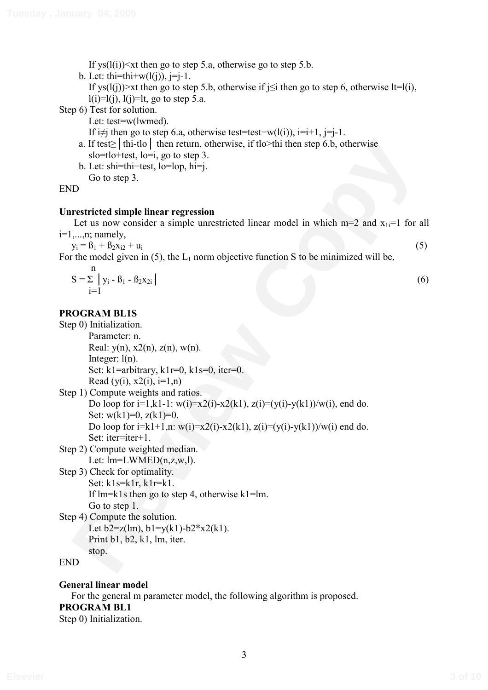If  $ys(l(i)) \leq xt$  then go to step 5.a, otherwise go to step 5.b.

b. Let: thi=thi+ $w(l(i))$ , j=j-1.

If ys(l(j))>xt then go to step 5.b, otherwise if  $i\leq i$  then go to step 6, otherwise lt=l(i),  $l(i)=l(j), l(j)=lt$ , go to step 5.a.

Step 6) Test for solution.

Let: test=w(lwmed).

If  $i\neq j$  then go to step 6.a, otherwise test=test+w(l(i)),  $i=i+1$ ,  $j=i-1$ .

- a. If test $\geq$  thi-tlo then return, otherwise, if tlo>thi then step 6.b, otherwise slo=tlo+test, lo=i, go to step 3.
- b. Let: shi=thi+test, lo=lop, hi=j. Go to step 3.

### **Unrestricted simple linear regression**

$$
S = \sum_{i=1}^{n} y_i - B_1 - B_2 x_{2i}
$$
 (6)

### **PROGRAM BL1S**

| a. If test $\ge$   thi-tlo   then return, otherwise, if tlo>thi then step 6.b, otherwise<br>slo=tlo+test, lo=i, go to step 3. |     |
|-------------------------------------------------------------------------------------------------------------------------------|-----|
| b. Let: shi=thi+test, lo=lop, hi=j.                                                                                           |     |
| Go to step 3.                                                                                                                 |     |
| <b>END</b>                                                                                                                    |     |
|                                                                                                                               |     |
| <b>Unrestricted simple linear regression</b>                                                                                  |     |
| Let us now consider a simple unrestricted linear model in which $m=2$ and $x_{1i}=1$ for all                                  |     |
| $i=1,\ldots,n;$ namely,                                                                                                       |     |
| $y_i = \beta_1 + \beta_2 x_{i2} + u_i$                                                                                        | (5) |
| For the model given in (5), the $L_1$ norm objective function S to be minimized will be,                                      |     |
| n                                                                                                                             |     |
| $S = \sum  y_i - B_1 - B_2x_{2i} $                                                                                            | (6) |
| $1 = 1$                                                                                                                       |     |
|                                                                                                                               |     |
| <b>PROGRAM BL1S</b>                                                                                                           |     |
| Step 0) Initialization.                                                                                                       |     |
| Parameter: n.                                                                                                                 |     |
| Real: $y(n)$ , $x2(n)$ , $z(n)$ , $w(n)$ .                                                                                    |     |
| Integer: $l(n)$ .                                                                                                             |     |
| Set: $k1$ =arbitrary, $k1r=0$ , $k1s=0$ , iter=0.                                                                             |     |
| Read (y(i), $x2(i)$ , $i=1,n$ )                                                                                               |     |
| Step 1) Compute weights and ratios.                                                                                           |     |
| Do loop for $i=1, k1-1$ : $w(i)=x2(i)-x2(k1), z(i)=(y(i)-y(k1))/w(i)$ , end do.                                               |     |
| Set: $w(k1)=0$ , $z(k1)=0$ .                                                                                                  |     |
| Do loop for $i=k1+1, n$ : $w(i)=x2(i)-x2(k1), z(i)=(y(i)-y(k1))/w(i)$ end do.                                                 |     |
| Set: iter=iter+1.                                                                                                             |     |
| Step 2) Compute weighted median.                                                                                              |     |
| Let: $lm=LWMED(n,z,w,l)$ .                                                                                                    |     |
| Step 3) Check for optimality.                                                                                                 |     |
| Set: $k1s=klr, k1r=k1.$                                                                                                       |     |
| If $lm=kls$ then go to step 4, otherwise $kl=lm$ .                                                                            |     |
| Go to step 1.                                                                                                                 |     |
| Step 4) Compute the solution.                                                                                                 |     |
| Let $b2 = z(lm)$ , $b1 = y(k1) - b2*x2(k1)$ .                                                                                 |     |
| Print $b1$ , $b2$ , $k1$ , $lm$ , iter.                                                                                       |     |
| stop.                                                                                                                         |     |
| <b>END</b>                                                                                                                    |     |
|                                                                                                                               |     |

## **General linear model**

For the general m parameter model, the following algorithm is proposed. **PROGRAM BL1**  Step 0) Initialization.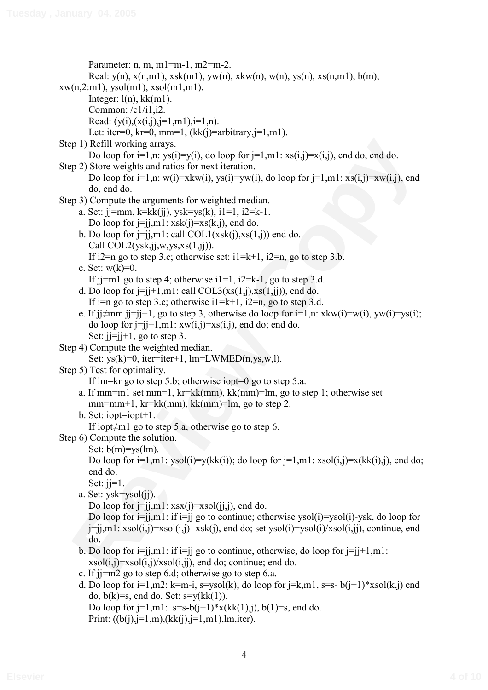```
p 1) Refill working arrays<br>
Do loop for \vec{i} = 1, \vec{r}, \vec{r} (i) \vec{r} = 1, \vec{r}, \vec{r} = 2, \vec{r} (i) \vec{r} = 2, \vec{r} (i) \vec{r} = 2, \vec{r} = 2, \vec{r} = 2, \vec{r} = 2, \vec{r} = 2, \vec{r} = 2, \vec{r} = Parameter: n, m, m1=m-1, m2=m-2. 
        Real: y(n), x(n,m1), xsk(m1), yw(n), xkw(n), w(n), ys(n), xs(n,m1), b(m),
xw(n,2:m1), vsol(m1), xsol(m1,m1).
        Integer: l(n), kk(m1).
         Common: /c1/i1,i2. 
        Read: (y(i), (x(i,j), j=1, m1), i=1, n).
        Let: iter=0, kr=0, mm=1, (kk(i)=arbitrary,i=1,m1).
Step 1) Refill working arrays. 
        Do loop for i=1, n: ys(i)=y(i), do loop for j=1, m1: xs(i,j)=x(i,j), end do, end do.
Step 2) Store weights and ratios for next iteration. 
        Do loop for i=1, n: w(i)=xkw(i), ys(i)=yw(i), do loop for i=1, m1: xs(i,j)=xw(i,j), end
        do, end do. 
Step 3) Compute the arguments for weighted median. 
     a. Set: jj=mm, k=kk(jj), ysk=ys(k), i1=1, i2=k-1.
        Do loop for i=jim1: xsk(i)=xs(k,j), end do.
     b. Do loop for j=j,ml: call COL1(xsk(j),xs(1,j)) end do.
        Call COL2(ysk,ji,w,ys,xs(1,ji)).
        If i2=n go to step 3.c; otherwise set: i1=k+1, i2=n, go to step 3.b.
     c. Set: w(k)=0.
        If ji=ml go to step 4; otherwise i=1, i=2=k-1, go to step 3.d.
     d. Do loop for j=j+1, m1: call COL3(xs(1,j),xs(1,j)), end do.
        If i=n go to step 3.e; otherwise i1=k+1, i2=n, go to step 3.d.
     e. If j\neqmm j=j+1, go to step 3, otherwise do loop for i=1,n: xkw(i)=w(i), yw(i)=vs(i);
        do loop for j=j+1,m1: xw(i,j)=xs(i,j), end do; end do.
        Set: i = i + 1, go to step 3.
Step 4) Compute the weighted median. 
        Set: vs(k)=0, iter=iter+1, lm=LWMED(n, vs, w, l).
Step 5) Test for optimality. 
         If lm=kr go to step 5.b; otherwise iopt=0 go to step 5.a. 
     a. If mm=m1 set mm=1, kr=kk(mm), kk(mm)=lm, go to step 1; otherwise set
        mm=mm+1, kr=kk(mm), kk(mm)=lm, go to step 2.
     b. Set: iopt=iopt+1. 
        If iopt\neqm1 go to step 5.a, otherwise go to step 6.
Step 6) Compute the solution. 
        Set: b(m)=vs(lm).
        Do loop for i=1,m1: ysol(i)=y(kk(i)); do loop for i=1,m1: xsol(i,j)=x(kk(i),j), end do;
        end do. 
        Set: i = 1.
     a. Set: ysk=ysol(jj). 
        Do loop for j=j,ml: xsx(j)=xsol(j,j), end do.
        Do loop for i=j, m1: if i=j go to continue; otherwise ysol(i)=ysol(i)-ysk, do loop for
        j=jj,m1: xsol(i,j)=xsol(i,j)- xsk(j), end do; set ysol(i)=ysol(i)/xsol(i,j), continue, end
       do. 
     b. Do loop for i=j,ml: if i=j go to continue, otherwise, do loop for i=j+1,ml:
        xsol(i,j)=xsol(i,j)/xsol(i,jj), end do; continue; end do.
     c. If jj=m2 go to step 6.d; otherwise go to step 6.a. 
     d. Do loop for i=1,m2: k=m-i, s=ysol(k); do loop for i=k,m1, s=s- b(i+1)*xsol(k,i) end
        do, b(k)=s, end do. Set: s=y(kk(1)).
        Do loop for j=1, m1: s=s-b(j+1)*x(kk(1),j), b(1)=s, end do.
        Print: ((b(i), j=1, m), (kk(i), j=1, m1), lm, iter).
```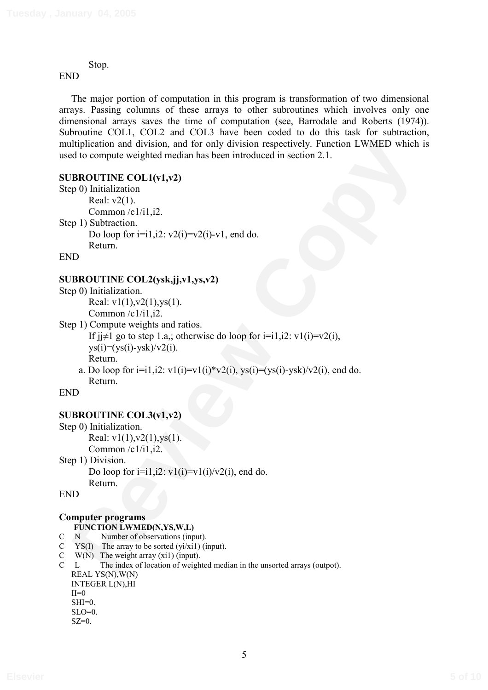Stop.

END

The major portion of computation in this program is transformation of two dimensional arrays. Passing columns of these arrays to other subroutines which involves only one dimensional arrays saves the time of computation (see, Barrodale and Roberts (1974)). Subroutine COL1, COL2 and COL3 have been coded to do this task for subtraction, multiplication and division, and for only division respectively. Function LWMED which is used to compute weighted median has been introduced in section 2.1.

### **SUBROUTINE COL1(v1,v2)**

```
dipileration and division, and for only division respectively. Function I.WMFD which is<br>
did compute weighted median has been introduced in section 2.1.<br>
REVIEWE COLI(v1,v2)<br>
REVIEWE COLI(v1,v2)<br>
Common (e1/i1,i2,<br>
Co
Step 0) Initialization 
             Real: v2(1). 
             Common /c1/i1,i2. 
Step 1) Subtraction. 
            Do loop for i=i1,i2: v2(i)=v2(i)-v1, end do.
             Return.
```
END

### **SUBROUTINE COL2(ysk,jj,v1,ys,v2)**

```
Step 0) Initialization. 
        Real: v1(1), v2(1), v5(1).
         Common /c1/i1,i2.
```
Step 1) Compute weights and ratios.

If  $j \neq 1$  go to step 1.a,; otherwise do loop for  $i = i1$ ,  $i2$ :  $v1(i) = v2(i)$ ,  $\frac{y}{y}(i)=(\frac{y}{y}(i)-\frac{y}{y}(k))/\frac{y}{2}(i)$ . Return.

a. Do loop for  $i=i1,i2$ :  $v1(i)=v1(i)*v2(i)$ ,  $ys(i)=(ys(i)-ysk)/v2(i)$ , end do. Return.

END

### **SUBROUTINE COL3(v1,v2)**

```
Step 0) Initialization. 
        Real: v1(1), v2(1), v5(1).
         Common /c1/i1,i2. 
Step 1) Division. 
        Do loop for i=i1,i2: v1(i)=v1(i)/v2(i), end do.
```
Return.

END

#### **Computer programs FUNCTION LWMED(N,YS,W,L)**

- C N Number of observations (input).
- C  $YS(I)$  The array to be sorted  $(yi/xi1)$  (input).
- $\begin{array}{ll}\nC & W(N) \\
C & L\n\end{array}$  The index of location of weight

```
The index of location of weighted median in the unsorted arrays (outpot).
REAL YS(N),W(N) 
INTEGER L(N),HI 
II=0SHI=0.
SLO=0.
SZ=0.
```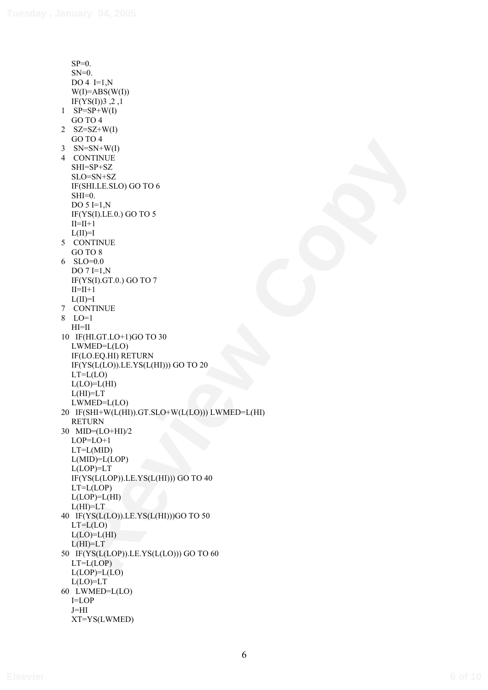**Review Copyright Copyright Copyright Copyright Copyright Copyright Copyright Copyright Copyright Copyright Copyright Copyright Copyright Copyright Copyright Copyright Copyright Copyright Copyright Copyright Copyright Cop**  $SP=0$ .  $SN=0$ . DO 4  $I=1,N$  $W(I)=ABS(W(I))$ IF(YS(I))3,2,1  $1$  SP=SP+W(I) GO TO 4 2  $SZ = SZ + W(I)$ GO TO 4  $3$  SN=SN+W(I) 4 CONTINUE SHI=SP+SZ SLO=SN+SZ IF(SHI.LE.SLO) GO TO 6  $SHI=0$ . DO  $5 = 1$ , N IF(YS(I).LE.0.) GO TO 5  $II=II+1$  $L(II)=I$  5 CONTINUE GO TO 8 6 SLO=0.0 DO  $7 = 1$ , N IF(YS(I).GT.0.) GO TO 7  $II=II+1$  $L(II)=I$  7 CONTINUE 8 LO=1  $HI=II$  10 IF(HI.GT.LO+1)GO TO 30 LWMED=L(LO) IF(LO.EQ.HI) RETURN IF(YS(L(LO)).LE.YS(L(HI))) GO TO 20  $LT=L(LO)$  $L(LO)=L(HI)$ L(HI)=LT LWMED=L(LO) 20 IF(SHI+W(L(HI)).GT.SLO+W(L(LO))) LWMED=L(HI) RETURN 30 MID=(LO+HI)/2 LOP=LO+1  $LT=L(MID)$ L(MID)=L(LOP) L(LOP)=LT IF(YS(L(LOP)).LE.YS(L(HI))) GO TO 40 LT=L(LOP)  $L(LOP)=L(HI)$ L(HI)=LT 40 IF(YS(L(LO)).LE.YS(L(HI)))GO TO 50  $LT=L(LO)$  $L(LO)=L(HI)$ L(HI)=LT 50 IF(YS(L(LOP)).LE.YS(L(LO))) GO TO 60  $LT=L(LOP)$  $L(LOP)=L(LO)$ L(LO)=LT 60 LWMED=L(LO) I=LOP J=HI XT=YS(LWMED)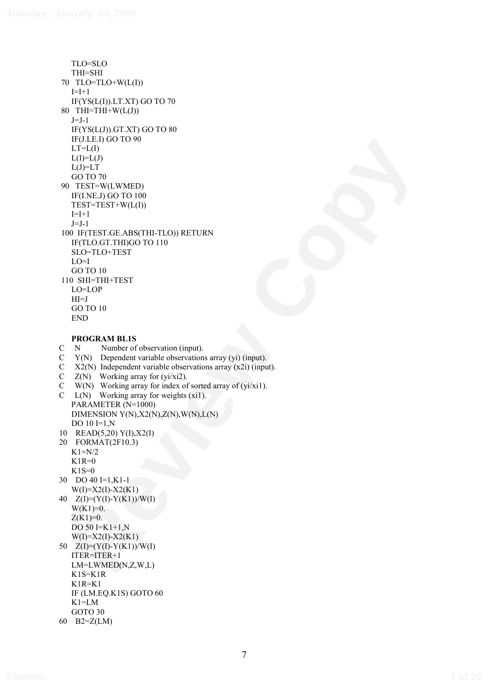**REVIEW ON THE CONSULTER (PER PRODUCED)**<br> **REVIEW COPY**<br> **REVIEW COPY**<br> **REVIEW COPY**<br> **REVIEW COPY**<br> **REVIEW COPY**<br> **REVIEW COPY**<br> **REVIEW COPY**<br> **REVIEW COPY**<br> **REVIEW COPY**<br> **REVIEW COPY**<br> **REVIEW COPY**<br> **COPY**<br> **COPY** TLO=SLO THI=SHI 70 TLO=TLO+W(L(I))  $I=I+1$ IF(YS(L(I)).LT.XT) GO TO 70 80 THI=THI+W( $L(J)$ )  $J=J-1$ IF(YS(L(J)).GT.XT) GO TO 80 IF(J.LE.I) GO TO 90  $LT=L(I)$  $L(I)=L(J)$  $L(J)=LT$ GO TO 70 90 TEST=W(LWMED) IF(I.NE.J) GO TO 100 TEST=TEST+W(L(I))  $I=I+1$  $J=J-1$  100 IF(TEST.GE.ABS(THI-TLO)) RETURN IF(TLO.GT.THI)GO TO 110 SLO=TLO+TEST  $LO=I$ GO TO 10 110 SHI=THI+TEST LO=LOP  $HI=J$ GO TO 10 END

#### **PROGRAM BL1S**

C N Number of observation (input).

- C Y(N) Dependent variable observations array (yi) (input).
- C X2(N) Independent variable observations array (x2i) (input).
- C  $Z(N)$  Working array for (yi/xi2).
- C W(N) Working array for index of sorted array of (yi/xi1).
- C  $L(N)$  Working array for weights (xi1). PARAMETER (N=1000) DIMENSION  $Y(N),X2(N),Z(N),W(N),L(N)$ DO 10 **I**=1,N
- 10 READ(5,20) Y(I),X2(I)

20 FORMAT(2F10.3)  $K1=N/2$  $K1R=0$  $K1S=0$ 

30 DO 40 I=1,K1-1  $W(I)=X2(I)-X2(K1)$ 40 Z(I)=(Y(I)-Y(K1))/W(I)  $W(K1)=0.$ 

 $Z(K1)=0.$ DO 50 I=K1+1,N

 $W(I)=X2(I)-X2(K1)$ 

50  $Z(I)=(Y(I)-Y(K1))/W(I)$ 

ITER=ITER+1

LM=LWMED(N,Z,W,L) K1S=K1R

K1R=K1

- IF (LM.EQ.K1S) GOTO 60
- K1=LM
- GOTO 30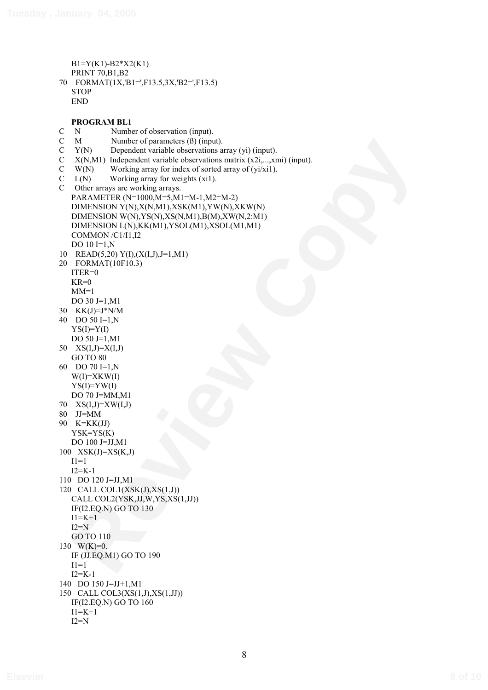```
B1=Y(K1)-B2*X2(K1) 
   PRINT 70,B1,B2 
70 FORMAT(1X,'B1=',F13.5,3X,'B2=',F13.5) 
   STOP
   END
```
M<br> **Review of parameters (a)** (impus)<br> **RRNM** independent variable observations array (v) (impus).<br> **RRNM** is independent variable descriptions (i.e., anal) (input).<br> **RRNMF interview observations (a)**  $\mathbf{R} = \mathbf{R} \times \mathbf{$ **PROGRAM BL1**  C N Number of observation (input).<br>C M Number of parameters (B) (input).  $M$  Number of parameters  $(\beta)$  (input). C Y(N) Dependent variable observations array (yi) (input). C X(N,M1) Independent variable observations matrix (x2i,...,xmi) (input). C W(N) Working array for index of sorted array of (yi/xi1).<br>C  $L(N)$  Working array for weights (xi1).  $\text{C}$  L(N) Working array for weights (xi1).<br>C Other arrays are working arrays Other arrays are working arrays. PARAMETER (N=1000,M=5,M1=M-1,M2=M-2) DIMENSION Y(N),X(N,M1),XSK(M1),YW(N),XKW(N) DIMENSION W(N),YS(N),XS(N,M1),B(M),XW(N,2:M1) DIMENSION L(N),KK(M1),YSOL(M1),XSOL(M1,M1) COMMON /C1/I1,I2 DO 10 **I**=1.N 10 READ(5,20) Y(I),(X(I,J),J=1,M1) 20 FORMAT(10F10.3) ITER=0  $KR=0$  $MM=1$ DO 30 J=1,M1 30 KK(J)=J\*N/M 40 DO 50 I=1,N  $YS(I)=Y(I)$ DO 50 J=1,M1 50  $XS(I,J)=X(I,J)$ GO TO 80 60 DO 70 I=1,N  $W(I)=XKW(I)$  $YS(I)=YW(I)$ DO 70 J=MM,M1 70 XS(I,J)=XW(I,J) 80 JJ=MM 90 K=KK(JJ) YSK=YS(K) DO 100 J=JJ,M1 100 XSK(J)=XS(K,J)  $I1=1$ I2=K-1 110 DO 120 J=JJ,M1 120 CALL COL1(XSK(J),XS(1,J)) CALL COL2(YSK,JJ,W,YS,XS(1,JJ)) IF(I2.EQ.N) GO TO 130  $I1 = K + 1$  $I2=N$ GO TO 110 130 W(K)=0. IF (JJ.EQ.M1) GO TO 190  $I1=1$  $I2=K-1$ 140 DO 150 J=JJ+1,M1 150 CALL COL3(XS(1,J),XS(1,JJ))

IF(I2.EQ.N) GO TO 160

 $I1 = K + 1$  $I2=N$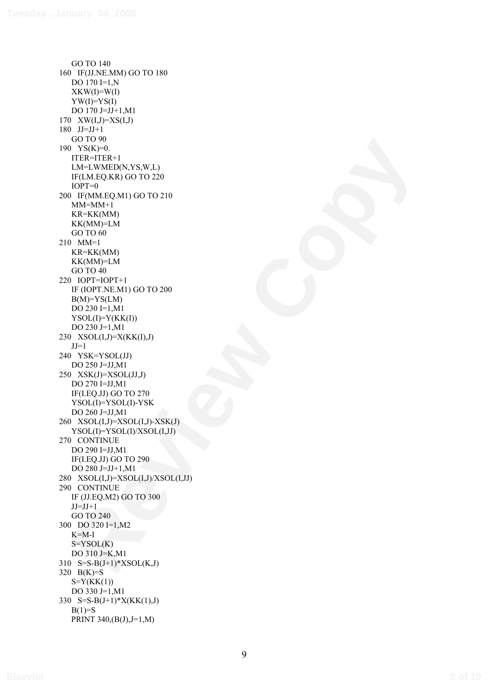**NOW MORE TRANSPORTED THE CONDUCT OF A SECOND CONDUCT ON A SECOND CONDUCT OF A SECOND CONDUCT OF A SECOND CONDUCT OF A SECOND CONDUCT OF A SECOND CONDUCT OF A SECOND CONDUCT OF A SECOND CONDUCT OF A SECOND CONDUCT OF A SEC** GO TO 140 160 IF(JJ.NE.MM) GO TO 180 DO 170 I=1,N  $XKW(I)=W(I)$  $YW(I)=YS(I)$ DO 170 J=JJ+1,M1 170 XW(I,J)=XS(I,J) 180 JJ=JJ+1 GO TO 90 190 YS(K)=0. ITER=ITER+1 LM=LWMED(N,YS,W,L) IF(LM.EQ.KR) GO TO 220  $IOPT=0$ 200 IF(MM.EQ.M1) GO TO 210  $MM=MM+1$ KR=KK(MM) KK(MM)=LM GO TO 60 210 MM=1 KR=KK(MM) KK(MM)=LM GO TO 40 220 IOPT=IOPT+1 IF (IOPT.NE.M1) GO TO 200  $B(M)=YS(LM)$ DO 230 I=1,M1  $YSOL(I)=Y(KK(I))$ DO 230 J=1,M1 230 XSOL(I,J)=X(KK(I),J)  $JJ=1$ 240 YSK=YSOL(JJ) DO 250 J=JJ,M1  $250$  XSK(J)=XSOL(JJ,J) DO 270 I=JJ,M1 IF(I.EQ.JJ) GO TO 270 YSOL(I)=YSOL(I)-YSK DO 260 J=JJ,M1 260 XSOL(I,J)=XSOL(I,J)-XSK(J) YSOL(I)=YSOL(I)/XSOL(I,JJ) 270 CONTINUE DO 290 I=JJ,M1 IF(I.EQ.JJ) GO TO 290 DO 280 J=JJ+1,M1 280 XSOL(I,J)=XSOL(I,J)/XSOL(I,JJ) 290 CONTINUE IF (JJ.EQ.M2) GO TO 300  $JJ=JJ+1$ GO TO 240 300 DO 320 I=1,M2 K=M-I  $S=YSOL(K)$ DO 310 J=K,M1 310  $S=S-B(J+1)*XSOL(K,J)$ 320 B(K)=S  $S=Y(KK(1))$ DO 330 J=1,M1 330 S=S-B(J+1)\*X(KK(1),J)  $B(1)=S$ PRINT 340,(B(J),J=1,M)